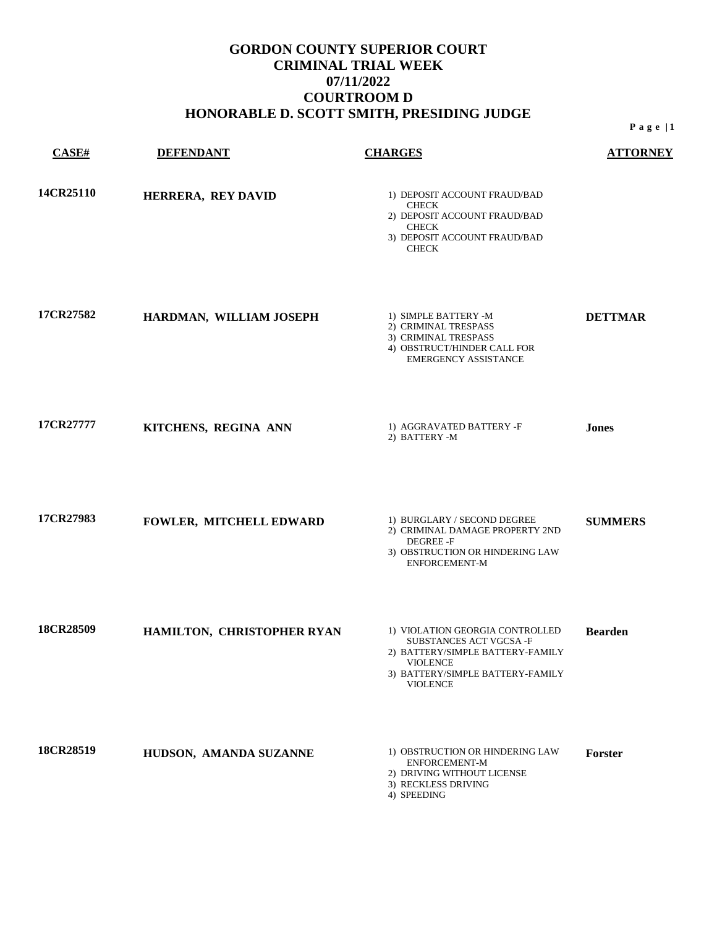| CASE#     | <b>DEFENDANT</b>           | <b>CHARGES</b>                                                                                                                                                   | <b>ATTORNEY</b> |
|-----------|----------------------------|------------------------------------------------------------------------------------------------------------------------------------------------------------------|-----------------|
| 14CR25110 | HERRERA, REY DAVID         | 1) DEPOSIT ACCOUNT FRAUD/BAD<br><b>CHECK</b><br>2) DEPOSIT ACCOUNT FRAUD/BAD<br><b>CHECK</b><br>3) DEPOSIT ACCOUNT FRAUD/BAD<br><b>CHECK</b>                     |                 |
| 17CR27582 | HARDMAN, WILLIAM JOSEPH    | 1) SIMPLE BATTERY -M<br>2) CRIMINAL TRESPASS<br>3) CRIMINAL TRESPASS<br>4) OBSTRUCT/HINDER CALL FOR<br><b>EMERGENCY ASSISTANCE</b>                               | <b>DETTMAR</b>  |
| 17CR27777 | KITCHENS, REGINA ANN       | 1) AGGRAVATED BATTERY -F<br>2) BATTERY -M                                                                                                                        | <b>Jones</b>    |
| 17CR27983 | FOWLER, MITCHELL EDWARD    | 1) BURGLARY / SECOND DEGREE<br>2) CRIMINAL DAMAGE PROPERTY 2ND<br>DEGREE -F<br>3) OBSTRUCTION OR HINDERING LAW<br><b>ENFORCEMENT-M</b>                           | <b>SUMMERS</b>  |
| 18CR28509 | HAMILTON, CHRISTOPHER RYAN | 1) VIOLATION GEORGIA CONTROLLED<br>SUBSTANCES ACT VGCSA-F<br>2) BATTERY/SIMPLE BATTERY-FAMILY<br>VIOLENCE<br>3) BATTERY/SIMPLE BATTERY-FAMILY<br><b>VIOLENCE</b> | <b>Bearden</b>  |
| 18CR28519 | HUDSON, AMANDA SUZANNE     | 1) OBSTRUCTION OR HINDERING LAW<br>ENFORCEMENT-M<br>2) DRIVING WITHOUT LICENSE<br>3) RECKLESS DRIVING<br>4) SPEEDING                                             | Forster         |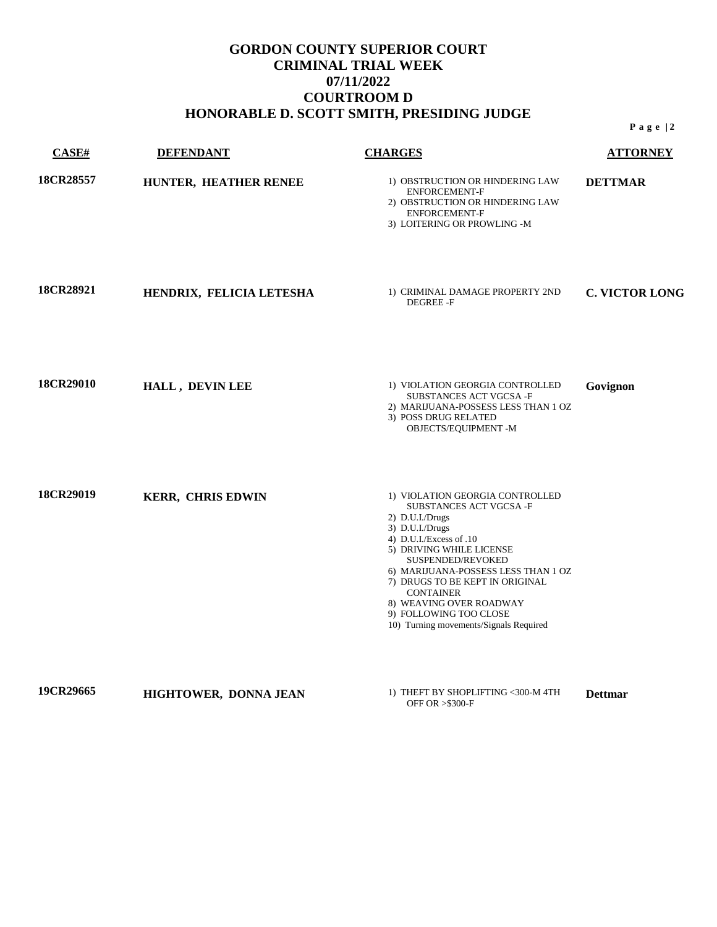| CASE#     | <b>DEFENDANT</b>         | <b>CHARGES</b>                                                                                                                                                                                                                                                                                                                                                           | <b>ATTORNEY</b>       |
|-----------|--------------------------|--------------------------------------------------------------------------------------------------------------------------------------------------------------------------------------------------------------------------------------------------------------------------------------------------------------------------------------------------------------------------|-----------------------|
| 18CR28557 | HUNTER, HEATHER RENEE    | 1) OBSTRUCTION OR HINDERING LAW<br><b>ENFORCEMENT-F</b><br>2) OBSTRUCTION OR HINDERING LAW<br><b>ENFORCEMENT-F</b><br>3) LOITERING OR PROWLING -M                                                                                                                                                                                                                        | <b>DETTMAR</b>        |
| 18CR28921 | HENDRIX, FELICIA LETESHA | 1) CRIMINAL DAMAGE PROPERTY 2ND<br><b>DEGREE-F</b>                                                                                                                                                                                                                                                                                                                       | <b>C. VICTOR LONG</b> |
| 18CR29010 | HALL, DEVIN LEE          | 1) VIOLATION GEORGIA CONTROLLED<br>SUBSTANCES ACT VGCSA-F<br>2) MARIJUANA-POSSESS LESS THAN 1 OZ<br>3) POSS DRUG RELATED<br>OBJECTS/EQUIPMENT-M                                                                                                                                                                                                                          | Govignon              |
| 18CR29019 | <b>KERR, CHRIS EDWIN</b> | 1) VIOLATION GEORGIA CONTROLLED<br>SUBSTANCES ACT VGCSA-F<br>2) D.U.I./Drugs<br>3) D.U.I./Drugs<br>4) D.U.I./Excess of .10<br>5) DRIVING WHILE LICENSE<br>SUSPENDED/REVOKED<br>6) MARIJUANA-POSSESS LESS THAN 1 OZ<br>7) DRUGS TO BE KEPT IN ORIGINAL<br><b>CONTAINER</b><br>8) WEAVING OVER ROADWAY<br>9) FOLLOWING TOO CLOSE<br>10) Turning movements/Signals Required |                       |
| 19CR29665 | HIGHTOWER, DONNA JEAN    | 1) THEFT BY SHOPLIFTING <300-M 4TH<br><b>OFF OR &gt;\$300-F</b>                                                                                                                                                                                                                                                                                                          | <b>Dettmar</b>        |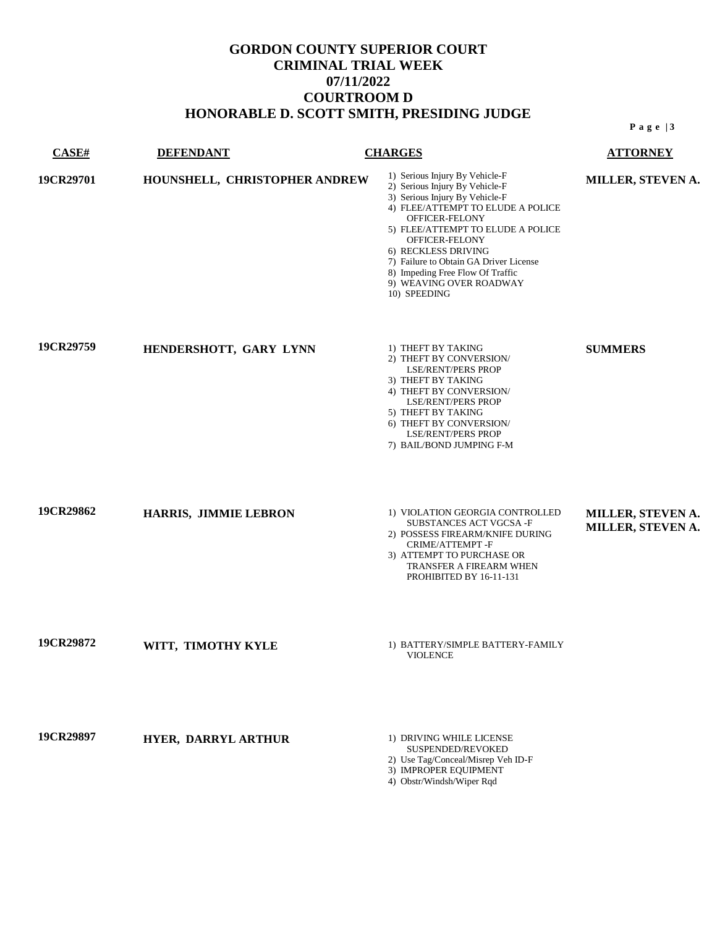| <b>CASE#</b> | <b>DEFENDANT</b>              | <b>CHARGES</b>                                                                                                                                                                                                                                                                                                                                                   | <b>ATTORNEY</b>                        |
|--------------|-------------------------------|------------------------------------------------------------------------------------------------------------------------------------------------------------------------------------------------------------------------------------------------------------------------------------------------------------------------------------------------------------------|----------------------------------------|
| 19CR29701    | HOUNSHELL, CHRISTOPHER ANDREW | 1) Serious Injury By Vehicle-F<br>2) Serious Injury By Vehicle-F<br>3) Serious Injury By Vehicle-F<br>4) FLEE/ATTEMPT TO ELUDE A POLICE<br>OFFICER-FELONY<br>5) FLEE/ATTEMPT TO ELUDE A POLICE<br>OFFICER-FELONY<br>6) RECKLESS DRIVING<br>7) Failure to Obtain GA Driver License<br>8) Impeding Free Flow Of Traffic<br>9) WEAVING OVER ROADWAY<br>10) SPEEDING | MILLER, STEVEN A.                      |
| 19CR29759    | HENDERSHOTT, GARY LYNN        | 1) THEFT BY TAKING<br>2) THEFT BY CONVERSION/<br><b>LSE/RENT/PERS PROP</b><br>3) THEFT BY TAKING<br>4) THEFT BY CONVERSION/<br><b>LSE/RENT/PERS PROP</b><br>5) THEFT BY TAKING<br>6) THEFT BY CONVERSION/<br><b>LSE/RENT/PERS PROP</b><br>7) BAIL/BOND JUMPING F-M                                                                                               | <b>SUMMERS</b>                         |
| 19CR29862    | HARRIS, JIMMIE LEBRON         | 1) VIOLATION GEORGIA CONTROLLED<br>SUBSTANCES ACT VGCSA-F<br>2) POSSESS FIREARM/KNIFE DURING<br>CRIME/ATTEMPT-F<br>3) ATTEMPT TO PURCHASE OR<br>TRANSFER A FIREARM WHEN<br>PROHIBITED BY 16-11-131                                                                                                                                                               | MILLER, STEVEN A.<br>MILLER, STEVEN A. |
| 19CR29872    | WITT, TIMOTHY KYLE            | 1) BATTERY/SIMPLE BATTERY-FAMILY<br><b>VIOLENCE</b>                                                                                                                                                                                                                                                                                                              |                                        |
| 19CR29897    | HYER, DARRYL ARTHUR           | 1) DRIVING WHILE LICENSE<br>SUSPENDED/REVOKED<br>2) Use Tag/Conceal/Misrep Veh ID-F<br>3) IMPROPER EQUIPMENT<br>4) Obstr/Windsh/Wiper Rqd                                                                                                                                                                                                                        |                                        |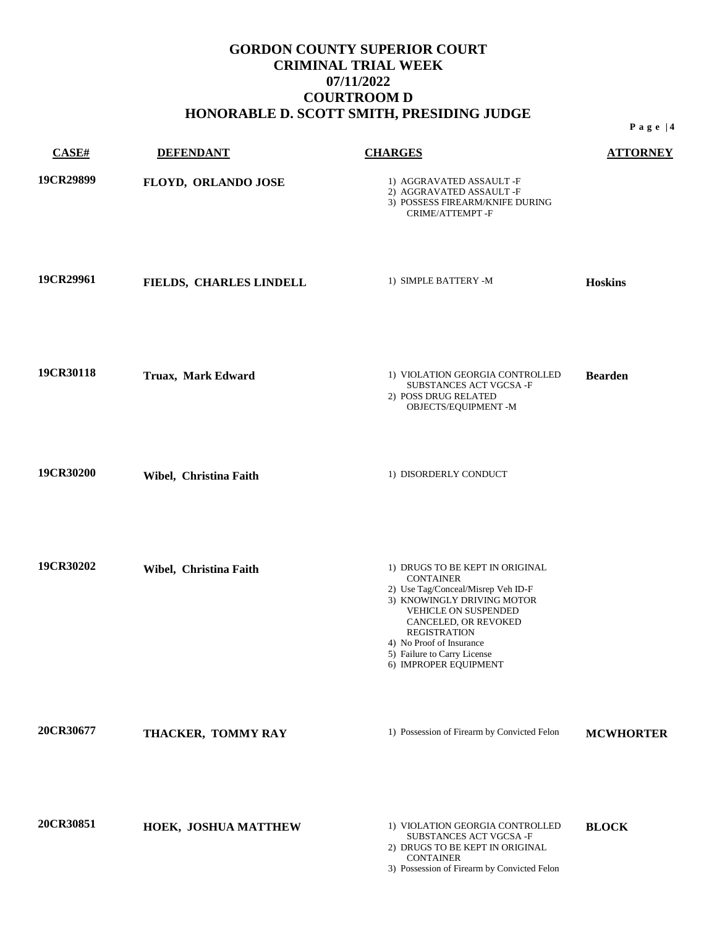| CASE#     | <b>DEFENDANT</b>        | <b>CHARGES</b>                                                                                                                                                                                                                                                                     | <b>ATTORNEY</b>  |
|-----------|-------------------------|------------------------------------------------------------------------------------------------------------------------------------------------------------------------------------------------------------------------------------------------------------------------------------|------------------|
| 19CR29899 | FLOYD, ORLANDO JOSE     | 1) AGGRAVATED ASSAULT -F<br>2) AGGRAVATED ASSAULT -F<br>3) POSSESS FIREARM/KNIFE DURING<br>CRIME/ATTEMPT-F                                                                                                                                                                         |                  |
| 19CR29961 | FIELDS, CHARLES LINDELL | 1) SIMPLE BATTERY -M                                                                                                                                                                                                                                                               | <b>Hoskins</b>   |
| 19CR30118 | Truax, Mark Edward      | 1) VIOLATION GEORGIA CONTROLLED<br>SUBSTANCES ACT VGCSA-F<br>2) POSS DRUG RELATED<br>OBJECTS/EQUIPMENT -M                                                                                                                                                                          | <b>Bearden</b>   |
| 19CR30200 | Wibel, Christina Faith  | 1) DISORDERLY CONDUCT                                                                                                                                                                                                                                                              |                  |
| 19CR30202 | Wibel, Christina Faith  | 1) DRUGS TO BE KEPT IN ORIGINAL<br><b>CONTAINER</b><br>2) Use Tag/Conceal/Misrep Veh ID-F<br>3) KNOWINGLY DRIVING MOTOR<br>VEHICLE ON SUSPENDED<br>CANCELED, OR REVOKED<br><b>REGISTRATION</b><br>4) No Proof of Insurance<br>5) Failure to Carry License<br>6) IMPROPER EQUIPMENT |                  |
| 20CR30677 | THACKER, TOMMY RAY      | 1) Possession of Firearm by Convicted Felon                                                                                                                                                                                                                                        | <b>MCWHORTER</b> |
| 20CR30851 | HOEK, JOSHUA MATTHEW    | 1) VIOLATION GEORGIA CONTROLLED<br>SUBSTANCES ACT VGCSA-F<br>2) DRUGS TO BE KEPT IN ORIGINAL<br><b>CONTAINER</b><br>3) Possession of Firearm by Convicted Felon                                                                                                                    | <b>BLOCK</b>     |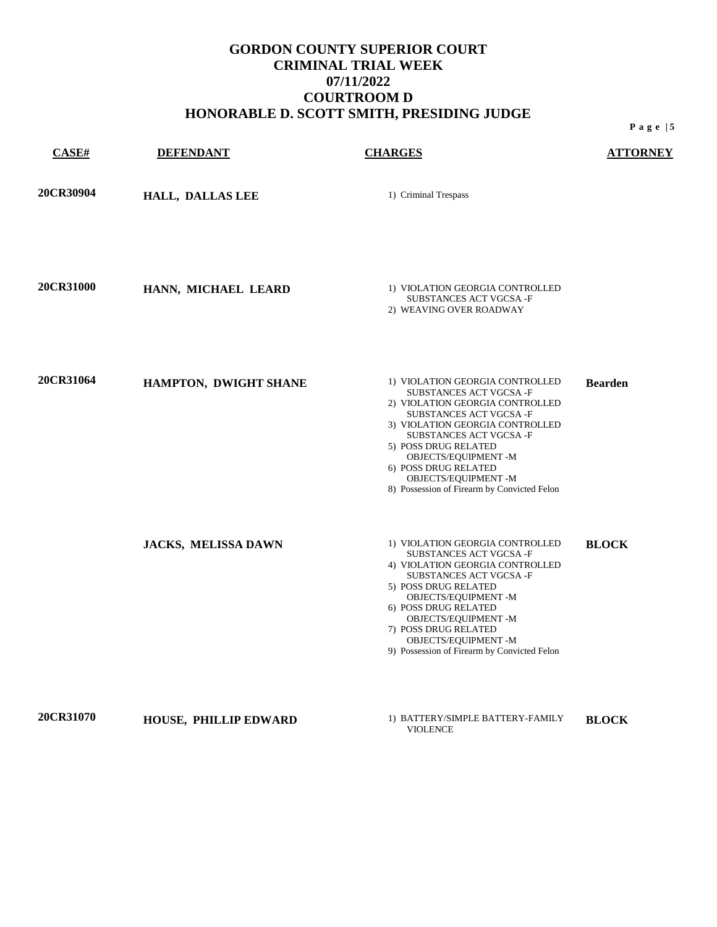**CASE# DEFENDANT CHARGES ATTORNEY 20CR30904 HALL, DALLAS LEE** 1) Criminal Trespass **20CR31000 <b>HANN, MICHAEL LEARD** 1) VIOLATION GEORGIA CONTROLLED SUBSTANCES ACT VGCSA -F 2) WEAVING OVER ROADWAY **20CR31064 HAMPTON, DWIGHT SHANE** 1) VIOLATION GEORGIA CONTROLLED SUBSTANCES ACT VGCSA -F 2) VIOLATION GEORGIA CONTROLLED SUBSTANCES ACT VGCSA -F 3) VIOLATION GEORGIA CONTROLLED SUBSTANCES ACT VGCSA -F 5) POSS DRUG RELATED OBJECTS/EQUIPMENT -M 6) POSS DRUG RELATED OBJECTS/EQUIPMENT -M 8) Possession of Firearm by Convicted Felon **Bearden JACKS, MELISSA DAWN** <sup>1)</sup> VIOLATION GEORGIA CONTROLLED SUBSTANCES ACT VGCSA -F 4) VIOLATION GEORGIA CONTROLLED SUBSTANCES ACT VGCSA -F 5) POSS DRUG RELATED OBJECTS/EQUIPMENT -M 6) POSS DRUG RELATED OBJECTS/EQUIPMENT -M 7) POSS DRUG RELATED OBJECTS/EQUIPMENT -M 9) Possession of Firearm by Convicted Felon **BLOCK**

**20CR31070 HOUSE, PHILLIP EDWARD** 1) BATTERY/SIMPLE BATTERY-FAMILY

VIOLENCE **BLOCK**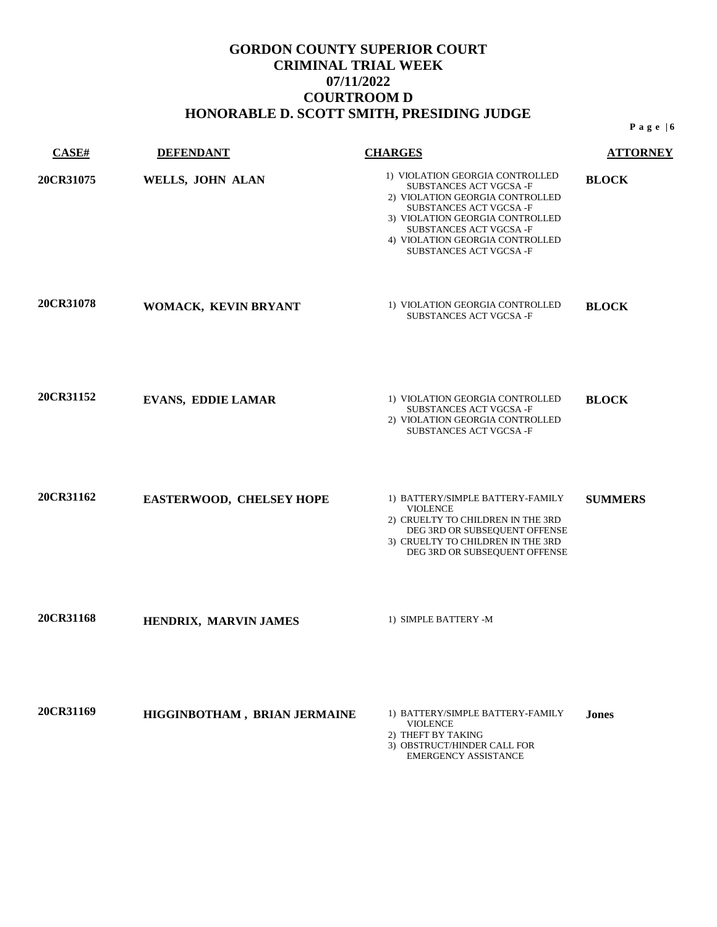| CASE#     | <b>DEFENDANT</b>             | <b>CHARGES</b>                                                                                                                                                                                                                                   | <b>ATTORNEY</b> |
|-----------|------------------------------|--------------------------------------------------------------------------------------------------------------------------------------------------------------------------------------------------------------------------------------------------|-----------------|
| 20CR31075 | WELLS, JOHN ALAN             | 1) VIOLATION GEORGIA CONTROLLED<br>SUBSTANCES ACT VGCSA-F<br>2) VIOLATION GEORGIA CONTROLLED<br>SUBSTANCES ACT VGCSA-F<br>3) VIOLATION GEORGIA CONTROLLED<br>SUBSTANCES ACT VGCSA-F<br>4) VIOLATION GEORGIA CONTROLLED<br>SUBSTANCES ACT VGCSA-F | <b>BLOCK</b>    |
| 20CR31078 | WOMACK, KEVIN BRYANT         | 1) VIOLATION GEORGIA CONTROLLED<br>SUBSTANCES ACT VGCSA-F                                                                                                                                                                                        | <b>BLOCK</b>    |
| 20CR31152 | <b>EVANS, EDDIE LAMAR</b>    | 1) VIOLATION GEORGIA CONTROLLED<br>SUBSTANCES ACT VGCSA-F<br>2) VIOLATION GEORGIA CONTROLLED<br>SUBSTANCES ACT VGCSA-F                                                                                                                           | <b>BLOCK</b>    |
| 20CR31162 | EASTERWOOD, CHELSEY HOPE     | 1) BATTERY/SIMPLE BATTERY-FAMILY<br><b>VIOLENCE</b><br>2) CRUELTY TO CHILDREN IN THE 3RD<br>DEG 3RD OR SUBSEQUENT OFFENSE<br>3) CRUELTY TO CHILDREN IN THE 3RD<br>DEG 3RD OR SUBSEQUENT OFFENSE                                                  | <b>SUMMERS</b>  |
| 20CR31168 | HENDRIX, MARVIN JAMES        | 1) SIMPLE BATTERY -M                                                                                                                                                                                                                             |                 |
| 20CR31169 | HIGGINBOTHAM, BRIAN JERMAINE | 1) BATTERY/SIMPLE BATTERY-FAMILY<br><b>VIOLENCE</b><br>2) THEFT BY TAKING<br>3) OBSTRUCT/HINDER CALL FOR<br><b>EMERGENCY ASSISTANCE</b>                                                                                                          | <b>Jones</b>    |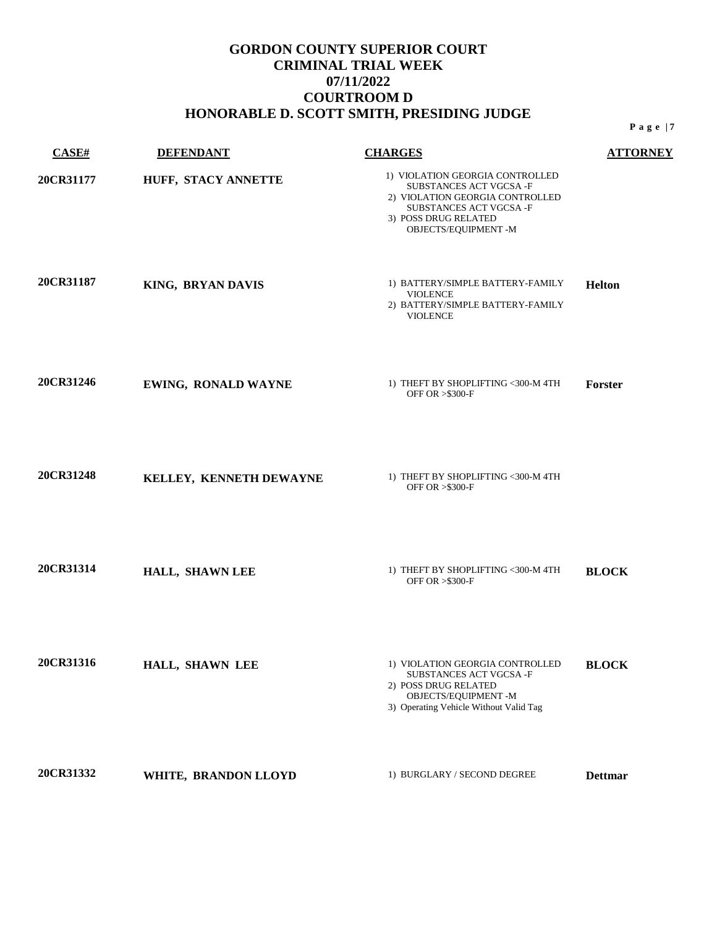| CASE#     | <b>DEFENDANT</b>           | <b>CHARGES</b>                                                                                                                                                         | <b>ATTORNEY</b> |
|-----------|----------------------------|------------------------------------------------------------------------------------------------------------------------------------------------------------------------|-----------------|
| 20CR31177 | HUFF, STACY ANNETTE        | 1) VIOLATION GEORGIA CONTROLLED<br>SUBSTANCES ACT VGCSA-F<br>2) VIOLATION GEORGIA CONTROLLED<br>SUBSTANCES ACT VGCSA-F<br>3) POSS DRUG RELATED<br>OBJECTS/EQUIPMENT -M |                 |
| 20CR31187 | KING, BRYAN DAVIS          | 1) BATTERY/SIMPLE BATTERY-FAMILY<br><b>VIOLENCE</b><br>2) BATTERY/SIMPLE BATTERY-FAMILY<br><b>VIOLENCE</b>                                                             | <b>Helton</b>   |
| 20CR31246 | <b>EWING, RONALD WAYNE</b> | 1) THEFT BY SHOPLIFTING <300-M 4TH<br>OFF OR > \$300-F                                                                                                                 | Forster         |
| 20CR31248 | KELLEY, KENNETH DEWAYNE    | 1) THEFT BY SHOPLIFTING <300-M 4TH<br>OFF OR > \$300-F                                                                                                                 |                 |
| 20CR31314 | HALL, SHAWN LEE            | 1) THEFT BY SHOPLIFTING <300-M 4TH<br>OFF OR > \$300-F                                                                                                                 | <b>BLOCK</b>    |
| 20CR31316 | HALL, SHAWN LEE            | 1) VIOLATION GEORGIA CONTROLLED<br>SUBSTANCES ACT VGCSA -F<br>2) POSS DRUG RELATED<br>OBJECTS/EQUIPMENT -M<br>3) Operating Vehicle Without Valid Tag                   | <b>BLOCK</b>    |
| 20CR31332 | WHITE, BRANDON LLOYD       | 1) BURGLARY / SECOND DEGREE                                                                                                                                            | <b>Dettmar</b>  |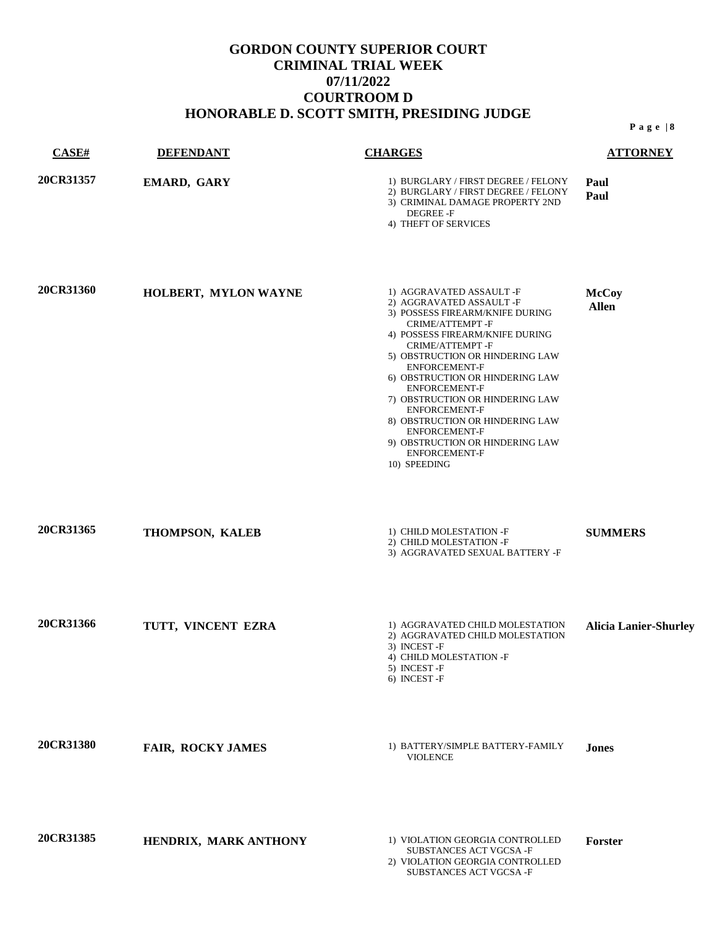| CASE#     | <b>DEFENDANT</b>      | <b>CHARGES</b>                                                                                                                                                                                                                                                                                                                                                                                                                                                                   | <b>ATTORNEY</b>              |
|-----------|-----------------------|----------------------------------------------------------------------------------------------------------------------------------------------------------------------------------------------------------------------------------------------------------------------------------------------------------------------------------------------------------------------------------------------------------------------------------------------------------------------------------|------------------------------|
| 20CR31357 | EMARD, GARY           | 1) BURGLARY / FIRST DEGREE / FELONY<br>2) BURGLARY / FIRST DEGREE / FELONY<br>3) CRIMINAL DAMAGE PROPERTY 2ND<br>DEGREE -F<br>4) THEFT OF SERVICES                                                                                                                                                                                                                                                                                                                               | Paul<br>Paul                 |
| 20CR31360 | HOLBERT, MYLON WAYNE  | 1) AGGRAVATED ASSAULT -F<br>2) AGGRAVATED ASSAULT -F<br>3) POSSESS FIREARM/KNIFE DURING<br>CRIME/ATTEMPT-F<br>4) POSSESS FIREARM/KNIFE DURING<br>CRIME/ATTEMPT-F<br>5) OBSTRUCTION OR HINDERING LAW<br>ENFORCEMENT-F<br>6) OBSTRUCTION OR HINDERING LAW<br><b>ENFORCEMENT-F</b><br>7) OBSTRUCTION OR HINDERING LAW<br><b>ENFORCEMENT-F</b><br>8) OBSTRUCTION OR HINDERING LAW<br><b>ENFORCEMENT-F</b><br>9) OBSTRUCTION OR HINDERING LAW<br><b>ENFORCEMENT-F</b><br>10) SPEEDING | <b>McCoy</b><br><b>Allen</b> |
| 20CR31365 | THOMPSON, KALEB       | 1) CHILD MOLESTATION -F<br>2) CHILD MOLESTATION -F<br>3) AGGRAVATED SEXUAL BATTERY -F                                                                                                                                                                                                                                                                                                                                                                                            | <b>SUMMERS</b>               |
| 20CR31366 | TUTT, VINCENT EZRA    | 1) AGGRAVATED CHILD MOLESTATION<br>2) AGGRAVATED CHILD MOLESTATION<br>3) INCEST-F<br>4) CHILD MOLESTATION -F<br>5) INCEST-F<br>6) INCEST-F                                                                                                                                                                                                                                                                                                                                       | <b>Alicia Lanier-Shurley</b> |
| 20CR31380 | FAIR, ROCKY JAMES     | 1) BATTERY/SIMPLE BATTERY-FAMILY<br><b>VIOLENCE</b>                                                                                                                                                                                                                                                                                                                                                                                                                              | <b>Jones</b>                 |
| 20CR31385 | HENDRIX, MARK ANTHONY | 1) VIOLATION GEORGIA CONTROLLED<br>SUBSTANCES ACT VGCSA-F<br>2) VIOLATION GEORGIA CONTROLLED<br>SUBSTANCES ACT VGCSA-F                                                                                                                                                                                                                                                                                                                                                           | Forster                      |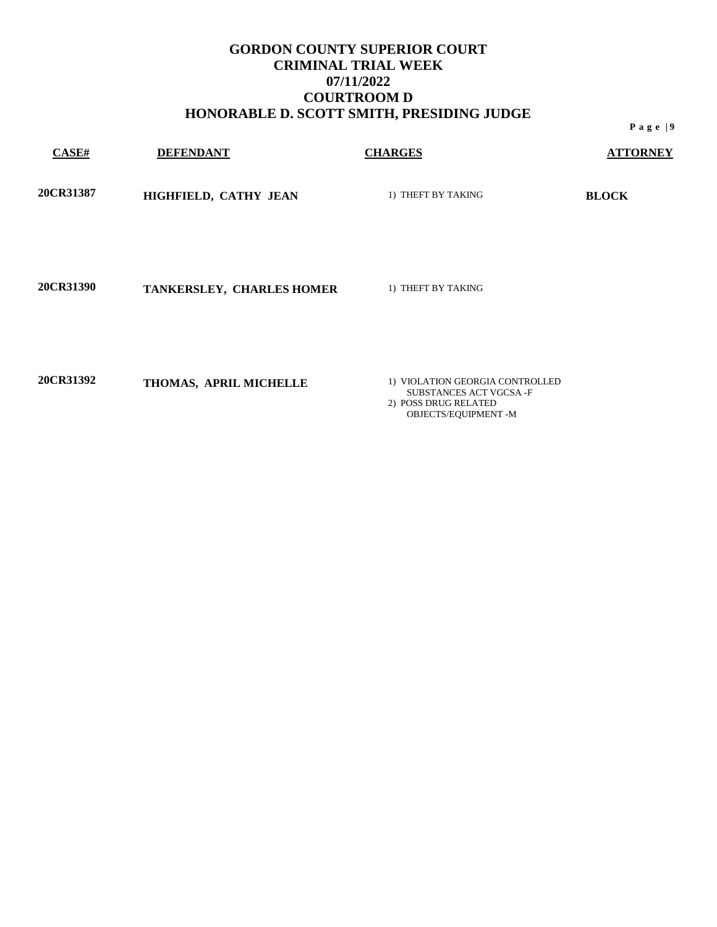| <b>CASE#</b>     | <b>DEFENDANT</b>          | <b>CHARGES</b>     | <b>ATTORNEY</b> |
|------------------|---------------------------|--------------------|-----------------|
| <b>20CR31387</b> | HIGHFIELD, CATHY JEAN     | 1) THEFT BY TAKING | <b>BLOCK</b>    |
| <b>20CR31390</b> | TANKERSLEY, CHARLES HOMER | 1) THEFT BY TAKING |                 |

**20CR31392 THOMAS, APRIL MICHELLE** 1) VIOLATION GEORGIA CONTROLLED

SUBSTANCES ACT VGCSA -F 2) POSS DRUG RELATED OBJECTS/EQUIPMENT -M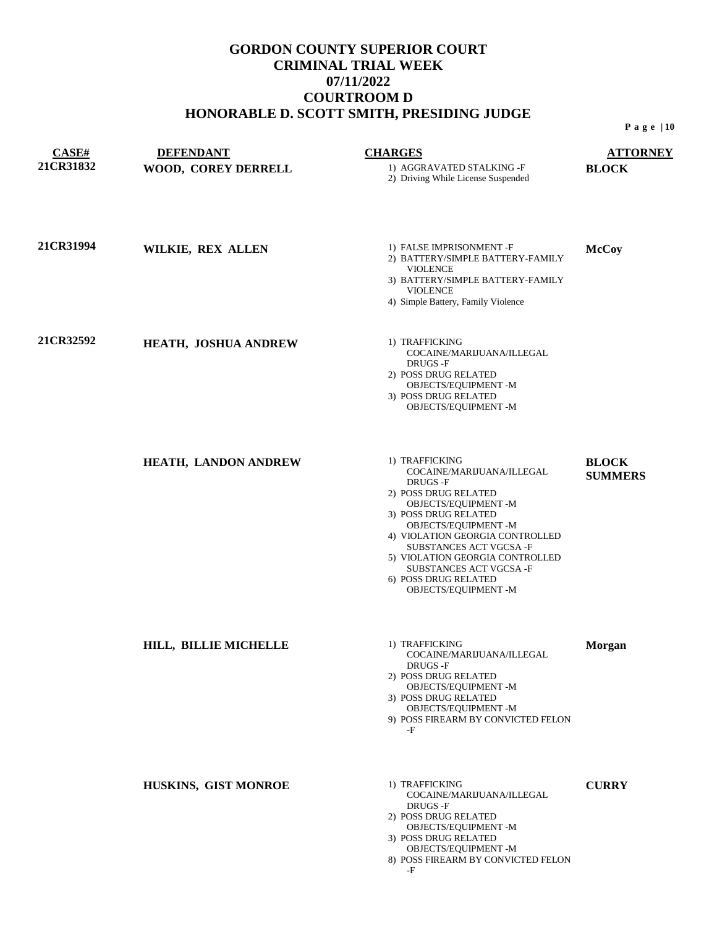| CASE#            | <b>DEFENDANT</b>            | <b>CHARGES</b>                                                                                                                                                                                                                                                                                                                     | <b>ATTORNEY</b>                |
|------------------|-----------------------------|------------------------------------------------------------------------------------------------------------------------------------------------------------------------------------------------------------------------------------------------------------------------------------------------------------------------------------|--------------------------------|
| <b>21CR31832</b> | WOOD, COREY DERRELL         | 1) AGGRAVATED STALKING -F<br>2) Driving While License Suspended                                                                                                                                                                                                                                                                    | <b>BLOCK</b>                   |
| <b>21CR31994</b> | WILKIE, REX ALLEN           | 1) FALSE IMPRISONMENT -F<br>2) BATTERY/SIMPLE BATTERY-FAMILY<br><b>VIOLENCE</b><br>3) BATTERY/SIMPLE BATTERY-FAMILY<br><b>VIOLENCE</b><br>4) Simple Battery, Family Violence                                                                                                                                                       | <b>McCoy</b>                   |
| <b>21CR32592</b> | <b>HEATH, JOSHUA ANDREW</b> | 1) TRAFFICKING<br>COCAINE/MARIJUANA/ILLEGAL<br>DRUGS -F<br>2) POSS DRUG RELATED<br>OBJECTS/EQUIPMENT -M<br>3) POSS DRUG RELATED<br>OBJECTS/EQUIPMENT -M                                                                                                                                                                            |                                |
|                  | HEATH, LANDON ANDREW        | 1) TRAFFICKING<br>COCAINE/MARIJUANA/ILLEGAL<br>DRUGS -F<br>2) POSS DRUG RELATED<br>OBJECTS/EQUIPMENT -M<br>3) POSS DRUG RELATED<br>OBJECTS/EQUIPMENT -M<br>4) VIOLATION GEORGIA CONTROLLED<br>SUBSTANCES ACT VGCSA-F<br>5) VIOLATION GEORGIA CONTROLLED<br>SUBSTANCES ACT VGCSA -F<br>6) POSS DRUG RELATED<br>OBJECTS/EQUIPMENT -M | <b>BLOCK</b><br><b>SUMMERS</b> |
|                  | HILL, BILLIE MICHELLE       | 1) TRAFFICKING<br>COCAINE/MARIJUANA/ILLEGAL<br>DRUGS -F<br>2) POSS DRUG RELATED<br>OBJECTS/EQUIPMENT -M<br>3) POSS DRUG RELATED<br>OBJECTS/EQUIPMENT -M<br>9) POSS FIREARM BY CONVICTED FELON<br>-F                                                                                                                                | <b>Morgan</b>                  |
|                  | HUSKINS, GIST MONROE        | 1) TRAFFICKING<br>COCAINE/MARIJUANA/ILLEGAL<br>DRUGS-F<br>2) POSS DRUG RELATED<br>OBJECTS/EQUIPMENT -M<br>3) POSS DRUG RELATED<br>OBJECTS/EQUIPMENT -M<br>8) POSS FIREARM BY CONVICTED FELON<br>-F                                                                                                                                 | <b>CURRY</b>                   |